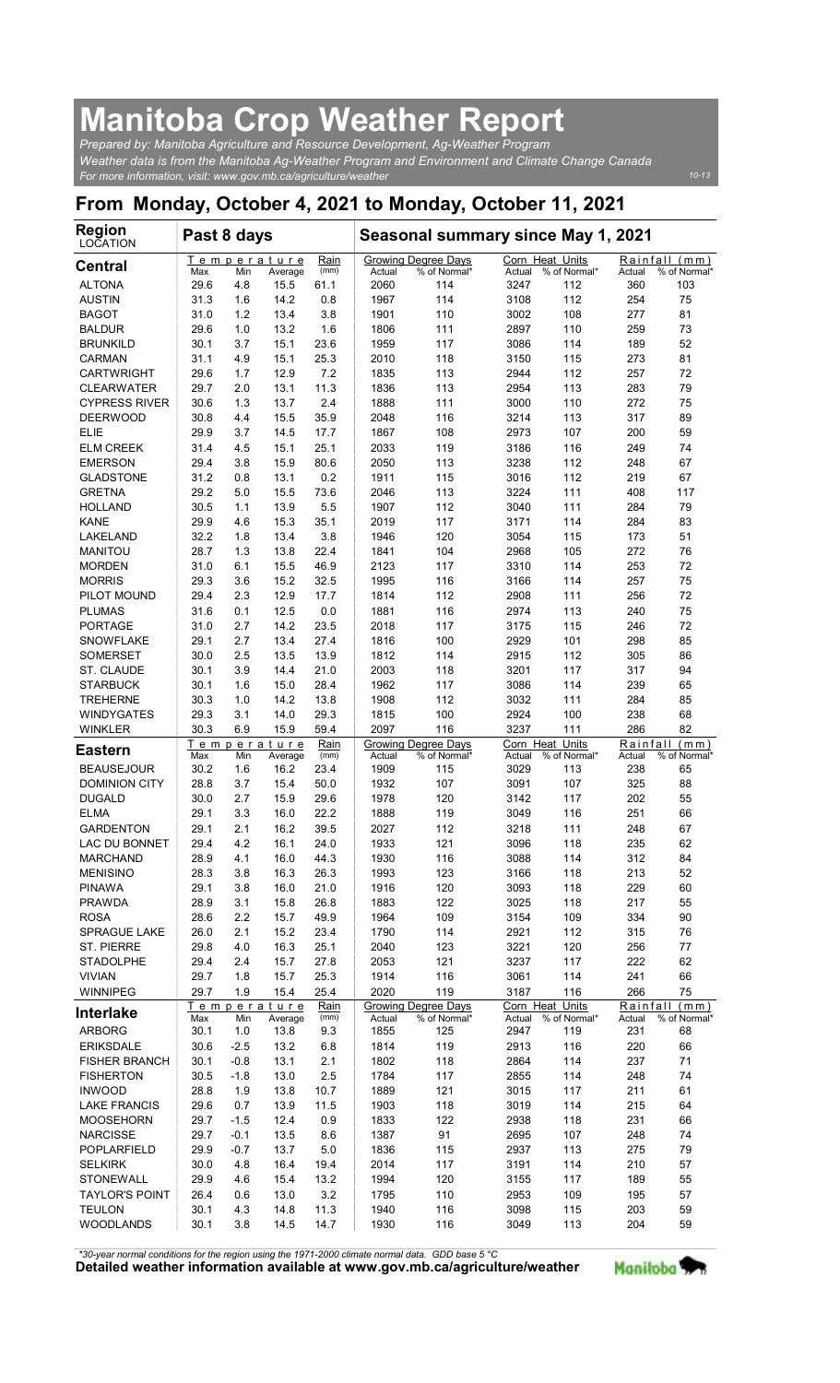## Manitoba Crop Weather Report

| <b>Manitoba Crop Weather Report</b>                                                                                                                              |             |            |                                |                     |                |                                                   |                                   |                     |                    |                                     |
|------------------------------------------------------------------------------------------------------------------------------------------------------------------|-------------|------------|--------------------------------|---------------------|----------------|---------------------------------------------------|-----------------------------------|---------------------|--------------------|-------------------------------------|
| Prepared by: Manitoba Agriculture and Resource Development, Ag-Weather Program                                                                                   |             |            |                                |                     |                |                                                   |                                   |                     |                    |                                     |
| Weather data is from the Manitoba Ag-Weather Program and Environment and Climate Change Canada<br>For more information, visit: www.gov.mb.ca/agriculture/weather |             |            |                                |                     |                |                                                   |                                   |                     |                    | $10 - 13$                           |
| From Monday, October 4, 2021 to Monday, October 11, 2021                                                                                                         |             |            |                                |                     |                |                                                   |                                   |                     |                    |                                     |
| <b>Region</b><br>LOCATION                                                                                                                                        | Past 8 days |            |                                |                     |                | Seasonal summary since May 1, 2021                |                                   |                     |                    |                                     |
| <b>Central</b>                                                                                                                                                   | Max         | Min        | Temperature<br>Average         | Rain<br>(mm)        | Actual         | Growing Degree Days<br>% of Normal*               | Corn Heat Units<br>Actual         | % of Normal*        | Actual             | Rainfall (mm)<br>% of Normal        |
| <b>ALTONA</b>                                                                                                                                                    | 29.6        | 4.8        | 15.5                           | 61.1                | 2060           | 114                                               | 3247                              | 112                 | 360                | 103                                 |
| <b>AUSTIN</b>                                                                                                                                                    | 31.3        | 1.6        | 14.2                           | 0.8                 | 1967           | 114                                               | 3108                              | 112                 | 254                | 75                                  |
| <b>BAGOT</b>                                                                                                                                                     | 31.0        | 1.2        | 13.4                           | 3.8                 | 1901           | 110                                               | 3002                              | 108                 | 277                | 81                                  |
| <b>BALDUR</b>                                                                                                                                                    | 29.6        | 1.0        | 13.2                           | 1.6                 | 1806           | 111                                               | 2897                              | 110                 | 259                | 73                                  |
| <b>BRUNKILD</b>                                                                                                                                                  | 30.1        | 3.7        | 15.1                           | 23.6                | 1959           | 117                                               | 3086                              | 114                 | 189                | 52                                  |
| <b>CARMAN</b>                                                                                                                                                    | 31.1        | 4.9        | 15.1                           | 25.3                | 2010           | 118                                               | 3150                              | 115                 | 273                | 81                                  |
| <b>CARTWRIGHT</b>                                                                                                                                                | 29.6        | 1.7        | 12.9                           | 7.2                 | 1835           | 113                                               | 2944                              | 112                 | 257                | 72                                  |
| <b>CLEARWATER</b>                                                                                                                                                | 29.7        | 2.0        | 13.1                           | 11.3                | 1836           | 113                                               | 2954                              | 113                 | 283                | 79                                  |
| <b>CYPRESS RIVER</b>                                                                                                                                             | 30.6        | 1.3        | 13.7                           | 2.4                 | 1888           | 111                                               | 3000                              | 110                 | 272                | 75                                  |
| <b>DEERWOOD</b>                                                                                                                                                  | 30.8        | 4.4        | 15.5                           | 35.9                | 2048           | 116                                               | 3214                              | 113                 | 317                | 89                                  |
| <b>ELIE</b>                                                                                                                                                      | 29.9        | 3.7        | 14.5                           | 17.7                | 1867           | 108                                               | 2973                              | 107                 | 200                | 59                                  |
| <b>ELM CREEK</b>                                                                                                                                                 | 31.4        | 4.5        | 15.1                           | 25.1                | 2033           | 119                                               | 3186                              | 116                 | 249                | 74                                  |
| <b>EMERSON</b>                                                                                                                                                   | 29.4        | 3.8        | 15.9                           | 80.6                | 2050           | 113                                               | 3238                              | 112                 | 248                | 67                                  |
| <b>GLADSTONE</b>                                                                                                                                                 | 31.2        | 0.8        | 13.1                           | 0.2                 | 1911           | 115                                               | 3016                              | 112                 | 219                | 67                                  |
| <b>GRETNA</b>                                                                                                                                                    | 29.2        | 5.0        | 15.5                           | 73.6                | 2046           | 113                                               | 3224                              | 111                 | 408                | 117                                 |
| <b>HOLLAND</b>                                                                                                                                                   | 30.5        | 1.1        | 13.9                           | 5.5                 | 1907           | 112                                               | 3040                              | 111                 | 284                | 79                                  |
| KANE                                                                                                                                                             | 29.9        | 4.6        | 15.3                           | 35.1                | 2019           | 117                                               | 3171                              | 114                 | 284                | 83                                  |
| LAKELAND                                                                                                                                                         | 32.2        | 1.8        | 13.4                           | 3.8                 | 1946           | 120                                               | 3054                              | 115                 | 173                | 51                                  |
| <b>MANITOU</b>                                                                                                                                                   | 28.7        | 1.3        | 13.8                           | 22.4                | 1841           | 104                                               | 2968                              | 105                 | 272                | 76                                  |
| <b>MORDEN</b>                                                                                                                                                    | 31.0        | 6.1        | 15.5                           | 46.9                | 2123           | 117                                               | 3310                              | 114                 | 253                | 72                                  |
| <b>MORRIS</b>                                                                                                                                                    | 29.3        | 3.6        | 15.2                           | 32.5                | 1995           | 116                                               | 3166                              | 114                 | 257                | 75                                  |
| PILOT MOUND                                                                                                                                                      | 29.4        | 2.3        | 12.9                           | 17.7                | 1814           | 112                                               | 2908                              | 111                 | 256                | 72                                  |
| <b>PLUMAS</b>                                                                                                                                                    | 31.6        | 0.1        | 12.5                           | 0.0                 | 1881           | 116                                               | 2974                              | 113                 | 240                | 75                                  |
| <b>PORTAGE</b>                                                                                                                                                   | 31.0        | 2.7        | 14.2                           | 23.5                | 2018           | 117                                               | 3175                              | 115                 | 246                | 72                                  |
| <b>SNOWFLAKE</b>                                                                                                                                                 | 29.1        | 2.7        | 13.4                           | 27.4                | 1816           | 100                                               | 2929                              | 101                 | 298                | 85                                  |
| <b>SOMERSET</b>                                                                                                                                                  | 30.0        | 2.5        | 13.5                           | 13.9                | 1812           | 114                                               | 2915                              | 112                 | 305                | 86                                  |
| ST. CLAUDE                                                                                                                                                       | 30.1        | 3.9        | 14.4                           | 21.0                | 2003           | 118                                               | 3201                              | 117                 | 317                | 94                                  |
| <b>STARBUCK</b>                                                                                                                                                  | 30.1        | 1.6        | 15.0                           | 28.4                | 1962           | 117                                               | 3086                              | 114                 | 239                | 65                                  |
| <b>TREHERNE</b>                                                                                                                                                  | 30.3        | 1.0        | 14.2                           | 13.8                | 1908           | 112                                               | 3032                              | 111                 | 284                | 85                                  |
| <b>WINDYGATES</b>                                                                                                                                                | 29.3        | 3.1        | 14.0                           | 29.3                | 1815           | 100                                               | 2924                              | 100                 | 238                | 68                                  |
| <b>WINKLER</b>                                                                                                                                                   | 30.3        | 6.9        | 15.9                           | 59.4                | 2097           | 116                                               | 3237                              | 111                 | 286                | 82                                  |
| <b>Eastern</b>                                                                                                                                                   | Max         | Min        | Temperature<br>Average         | Rain<br>(mm)        | Actual         | Growing Degree Days<br>% of Normal*               | Corn Heat Units<br>Actual         | % of Normal*        | Rainfall<br>Actual | (mm)<br>% of Normal*                |
| <b>BEAUSEJOUR</b>                                                                                                                                                | 30.2        | 1.6        | 16.2                           | 23.4                | 1909           | 115                                               | 3029                              | 113                 | 238                | 65                                  |
| <b>DOMINION CITY</b>                                                                                                                                             | 28.8        | 3.7        | 15.4                           | 50.0                | 1932           | 107                                               | 3091                              | 107                 | 325                | 88                                  |
| <b>DUGALD</b>                                                                                                                                                    | 30.0        | 2.7        | 15.9                           | 29.6                | 1978           | 120                                               | 3142                              | 117                 | 202                | 55                                  |
| <b>ELMA</b>                                                                                                                                                      | 29.1        | 3.3        | 16.0                           | 22.2                | 1888           | 119                                               | 3049                              | 116                 | 251                | 66                                  |
| <b>GARDENTON</b>                                                                                                                                                 | 29.1        | 2.1        | 16.2                           | 39.5                | 2027           | 112                                               | 3218                              | 111                 | 248                | 67                                  |
| LAC DU BONNET                                                                                                                                                    | 29.4        | 4.2        | 16.1                           | 24.0                | 1933           | 121                                               | 3096                              | 118                 | 235                | 62                                  |
| <b>MARCHAND</b>                                                                                                                                                  | 28.9        | 4.1        | 16.0                           | 44.3                | 1930           | 116                                               | 3088                              | 114                 | 312                | 84                                  |
| <b>MENISINO</b>                                                                                                                                                  | 28.3        | 3.8        | 16.3                           | 26.3                | 1993           | 123                                               | 3166                              | 118                 | 213                | 52                                  |
| <b>PINAWA</b>                                                                                                                                                    | 29.1        | 3.8        | 16.0                           | 21.0                | 1916           | 120                                               | 3093                              | 118                 | 229                | 60                                  |
| PRAWDA                                                                                                                                                           | 28.9        | 3.1        | 15.8                           | 26.8                | 1883           | 122                                               | 3025                              | 118                 | 217                | 55                                  |
| <b>ROSA</b>                                                                                                                                                      | 28.6        | 2.2        | 15.7                           | 49.9                | 1964           | 109                                               | 3154                              | 109                 | 334                | 90                                  |
| <b>SPRAGUE LAKE</b>                                                                                                                                              | 26.0        | 2.1        | 15.2                           | 23.4                | 1790           | 114                                               | 2921                              | 112                 | 315                | 76                                  |
| ST. PIERRE                                                                                                                                                       | 29.8        | 4.0        | 16.3                           | 25.1                | 2040           | 123                                               | 3221                              | 120                 | 256                | 77                                  |
| <b>STADOLPHE</b>                                                                                                                                                 | 29.4        | 2.4        | 15.7                           | 27.8                | 2053           | 121                                               | 3237                              | 117                 | 222                | 62                                  |
| <b>VIVIAN</b>                                                                                                                                                    | 29.7        | 1.8        | 15.7                           | 25.3                | 1914           | 116                                               | 3061                              | 114                 | 241                | 66                                  |
| WINNIPEG                                                                                                                                                         | 29.7        | 1.9        | 15.4                           | 25.4                | 2020           | 119                                               | 3187                              | 116                 | 266                | 75                                  |
| <b>Interlake</b><br><b>ARBORG</b>                                                                                                                                | Max<br>30.1 | Min<br>1.0 | Temperature<br>Average<br>13.8 | Rain<br>(mm)<br>9.3 | Actual<br>1855 | <b>Growing Degree Days</b><br>% of Normal*<br>125 | Corn Heat Units<br>Actual<br>2947 | % of Normal*<br>119 | Actual<br>231      | Rainfall (mm)<br>% of Normal'<br>68 |
| <b>ERIKSDALE</b>                                                                                                                                                 | 30.6        | $-2.5$     | 13.2                           | 6.8                 | 1814           | 119                                               | 2913                              | 116                 | 220                | 66                                  |
| <b>FISHER BRANCH</b>                                                                                                                                             | 30.1        | $-0.8$     | 13.1                           | 2.1                 | 1802           | 118                                               | 2864                              | 114                 | 237                | 71                                  |
| <b>FISHERTON</b>                                                                                                                                                 | 30.5        | $-1.8$     | 13.0                           | 2.5                 | 1784           | 117                                               | 2855                              | 114                 | 248                | 74                                  |
| <b>INWOOD</b>                                                                                                                                                    | 28.8        | 1.9        | 13.8                           | 10.7                | 1889           | 121                                               | 3015                              | 117                 | 211                | 61                                  |
| <b>LAKE FRANCIS</b>                                                                                                                                              | 29.6        | 0.7        | 13.9                           | 11.5                | 1903           | 118                                               | 3019                              | 114                 | 215                | 64                                  |
| <b>MOOSEHORN</b>                                                                                                                                                 | 29.7        | $-1.5$     | 12.4                           | 0.9                 | 1833           | 122                                               | 2938                              | 118                 | 231                | 66                                  |
| <b>NARCISSE</b>                                                                                                                                                  | 29.7        | $-0.1$     | 13.5                           | 8.6                 | 1387           | 91                                                | 2695                              | 107                 | 248                | 74                                  |
| POPLARFIELD                                                                                                                                                      | 29.9        | $-0.7$     | 13.7                           | 5.0                 | 1836           | 115                                               | 2937                              | 113                 | 275                | 79                                  |
| <b>SELKIRK</b>                                                                                                                                                   | 30.0        | 4.8        | 16.4                           | 19.4                | 2014           | 117                                               | 3191                              | 114                 | 210                | 57                                  |
| <b>STONEWALL</b>                                                                                                                                                 | 29.9        | 4.6        | 15.4                           | 13.2                | 1994           | 120                                               | 3155                              | 117                 | 189                | 55                                  |
| <b>TAYLOR'S POINT</b>                                                                                                                                            | 26.4        | 0.6        | 13.0                           | 3.2                 | 1795           | 110                                               | 2953                              | 109                 | 195                | 57                                  |
| <b>TEULON</b>                                                                                                                                                    | 30.1        | 4.3        | 14.8                           | 11.3                | 1940           | 116                                               | 3098                              | 115                 | 203                | 59                                  |
| <b>WOODLANDS</b>                                                                                                                                                 | 30.1        | 3.8        | 14.5                           | 14.7                | 1930           | 116                                               | 3049                              | 113                 | 204                | 59                                  |

Detailed weather information available at www.gov.mb.ca/agriculture/weather Manitoba \*30-year normal conditions for the region using the 1971-2000 climate normal data. GDD base 5 °C